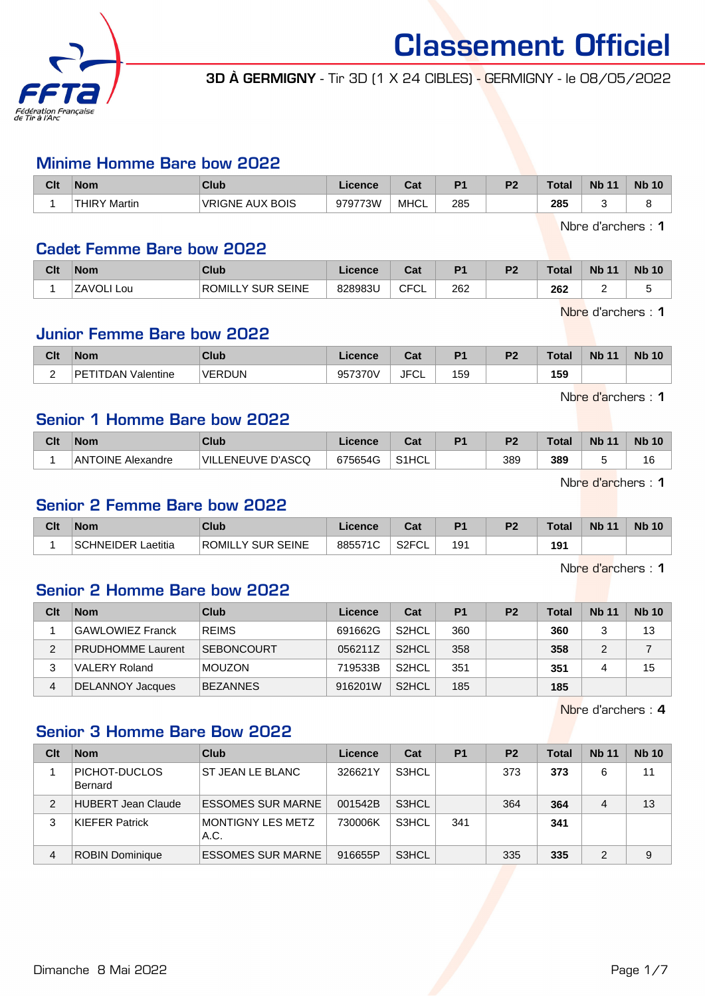

3D À GERMIGNY - Tir 3D (1 X 24 CIBLES) - GERMIGNY - le 08/05/2022

#### Minime Homme Bare bow 2022

| Clt | <b>Nom</b>             | Club                   | Licence | ∩^∙<br>vaı. |     | D0 | <b>Total</b> | <b>N<sub>b</sub></b><br>11 | <b>Nb 10</b> |
|-----|------------------------|------------------------|---------|-------------|-----|----|--------------|----------------------------|--------------|
|     | <b>THIRY</b><br>Martin | <b>VRIGNE AUX BOIS</b> | 979773W | <b>MHCL</b> | 285 |    | 285<br>__    |                            |              |

Nbre d'archers : 1

#### Cadet Femme Bare bow 2022

| Clt | <b>Nom</b>    | <b>Club</b>                   | Licence | ⊍a          | P <sub>1</sub> | <b>P2</b> | Total | <b>Nb 11</b> | <b>Nb 10</b> |
|-----|---------------|-------------------------------|---------|-------------|----------------|-----------|-------|--------------|--------------|
|     | ZAVOLI<br>Lou | SEINE<br>`Y SUR .<br>□ROMIL∟. | 828983U | <b>CFCL</b> | 262            |           | 262   |              |              |

Nbre d'archers : 1

## Junior Femme Bare bow 2022

| Clt | <b>Nom</b>             | Club          | Licence      | ∩~'<br>υαι  | D <sub>1</sub> | P <sub>2</sub> | Total | <b>Nb 11</b> | <b>Nb 10</b> |
|-----|------------------------|---------------|--------------|-------------|----------------|----------------|-------|--------------|--------------|
| ∽   | DЕ<br>Valentine<br>ገልN | <b>VERDUN</b> | 057370<br>ບບ | <b>JFCL</b> | 159            |                | 159   |              |              |

Nbre d'archers : 1

#### Senior 1 Homme Bare bow 2022

| Clt | 'Nom                     | Club                    | Licence | ີ້<br>ua           | D <sub>1</sub> | D <sub>2</sub> | Total | <b>Nb 11</b> | <b>Nb 10</b> |
|-----|--------------------------|-------------------------|---------|--------------------|----------------|----------------|-------|--------------|--------------|
|     | <b>ANTOINE Alexandre</b> | LENEUVE D'ASCQ<br>`VIL. | 675654G | S <sub>1</sub> HCL |                | 389            | 389   |              | 16           |

Nbre d'archers : 1

#### Senior 2 Femme Bare bow 2022

| Clt | <b>Nom</b>           | <b>Club</b>                     | Licence | <b>Dol</b><br>cal        | D <sub>4</sub> | D <sub>2</sub> | Total | <b>Nb 11</b> | <b>Nb 10</b> |
|-----|----------------------|---------------------------------|---------|--------------------------|----------------|----------------|-------|--------------|--------------|
|     | Laetitia<br>วHNEIDER | LY SUR SEINE<br><b>ROMILL</b> . | 885571C | <b>SOEM</b><br>∟∠ت<br>◡∟ | 191            |                | 191   |              |              |

Nbre d'archers : 1

# Senior 2 Homme Bare bow 2022

| Clt | <b>Nom</b>               | Club              | Licence | Cat                | P <sub>1</sub> | P <sub>2</sub> | Total | <b>Nb 11</b> | <b>Nb 10</b> |
|-----|--------------------------|-------------------|---------|--------------------|----------------|----------------|-------|--------------|--------------|
|     | <b>GAWLOWIEZ Franck</b>  | <b>REIMS</b>      | 691662G | S <sub>2</sub> HCL | 360            |                | 360   |              | 13           |
|     | <b>PRUDHOMME Laurent</b> | <b>SEBONCOURT</b> | 056211Z | S <sub>2</sub> HCL | 358            |                | 358   |              |              |
| 3   | <b>VALERY Roland</b>     | <b>MOUZON</b>     | 719533B | S <sub>2</sub> HCL | 351            |                | 351   |              | 15           |
|     | DELANNOY Jacques         | <b>BEZANNES</b>   | 916201W | S <sub>2</sub> HCL | 185            |                | 185   |              |              |

Nbre d'archers : 4

# Senior 3 Homme Bare Bow 2022

| Clt            | <b>Nom</b>               | Club                             | Licence | Cat   | <b>P1</b> | P <sub>2</sub> | Total | <b>Nb 11</b> | <b>Nb 10</b> |
|----------------|--------------------------|----------------------------------|---------|-------|-----------|----------------|-------|--------------|--------------|
|                | PICHOT-DUCLOS<br>Bernard | ST JEAN LE BLANC                 | 326621Y | S3HCL |           | 373            | 373   | 6            | 11           |
| $\mathfrak{p}$ | HUBERT Jean Claude       | <b>ESSOMES SUR MARNE</b>         | 001542B | S3HCL |           | 364            | 364   | 4            | 13           |
| 3              | <b>KIEFER Patrick</b>    | <b>MONTIGNY LES METZ</b><br>A.C. | 730006K | S3HCL | 341       |                | 341   |              |              |
| 4              | <b>ROBIN Dominique</b>   | <b>ESSOMES SUR MARNE</b>         | 916655P | S3HCL |           | 335            | 335   | 2            | 9            |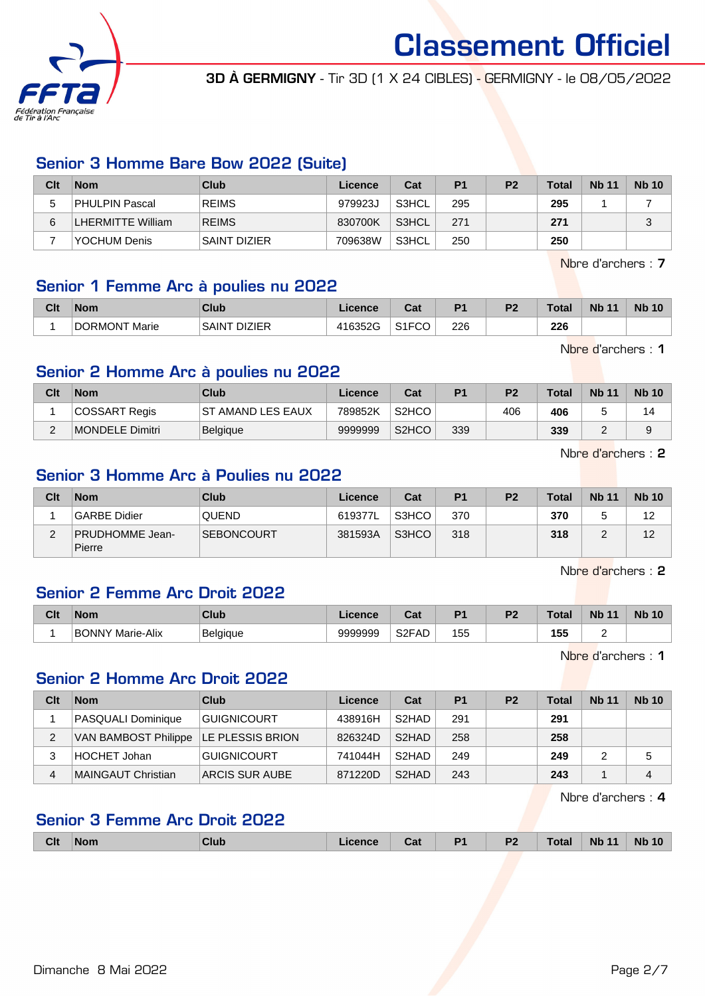

3D À GERMIGNY - Tir 3D (1 X 24 CIBLES) - GERMIGNY - le 08/05/2022

# Senior 3 Homme Bare Bow 2022 (Suite)

| Clt | Nom                      | Club                | Licence | Cat   | P <sub>1</sub> | P <sub>2</sub> | <b>Total</b> | <b>Nb 11</b> | <b>Nb 10</b> |
|-----|--------------------------|---------------------|---------|-------|----------------|----------------|--------------|--------------|--------------|
|     | PHULPIN Pascal           | <b>REIMS</b>        | 979923J | S3HCL | 295            |                | 295          |              |              |
| 6   | <b>LHERMITTE William</b> | <b>REIMS</b>        | 830700K | S3HCL | 271            |                | 271          |              | $\sqrt{2}$   |
|     | YOCHUM Denis             | <b>SAINT DIZIER</b> | 709638W | S3HCL | 250            |                | 250          |              |              |

Nbre d'archers : 7

#### Senior 1 Femme Arc à poulies nu 2022

| Clt | <b>Nom</b>    | Club                         | icence  | ו ה<br>⊍a    | D <sub>1</sub> | D <sub>2</sub> | $T$ otol<br>Uldi | <b>Nb</b> | <b>Nb 10</b> |
|-----|---------------|------------------------------|---------|--------------|----------------|----------------|------------------|-----------|--------------|
|     | DORMONT Marie | <sup>*</sup> DIZIER<br>SAINT | 416352G | 0.150<br>ا ب | 226            |                | 226              |           |              |

Nbre d'archers : 1

# Senior 2 Homme Arc à poulies nu 2022

| Clt    | <b>Nom</b>      | Club                     | Licence | Cat                | P <sub>1</sub> | P <sub>2</sub> | <b>Total</b> | <b>Nb 11</b> | <b>Nb 10</b> |
|--------|-----------------|--------------------------|---------|--------------------|----------------|----------------|--------------|--------------|--------------|
|        | COSSART Regis   | <b>ST AMAND LES EAUX</b> | 789852K | S <sub>2</sub> HCO |                | 406            | 406          |              | ıд           |
| $\sim$ | MONDELE Dimitri | <b>Belgique</b>          | 9999999 | S <sub>2</sub> HCO | 339            |                | 339          | -            | 9            |

Nbre d'archers : 2

#### Senior 3 Homme Arc à Poulies nu 2022

| Clt | <b>Nom</b>                       | Club              | Licence | Cat   | P <sub>1</sub> | P <sub>2</sub> | <b>Total</b> | <b>Nb 11</b> | <b>Nb 10</b> |
|-----|----------------------------------|-------------------|---------|-------|----------------|----------------|--------------|--------------|--------------|
|     | GARBE Didier                     | <b>QUEND</b>      | 619377L | S3HCO | 370            |                | 370          |              | 12           |
| ີ   | <b>PRUDHOMME Jean-</b><br>Pierre | <b>SEBONCOURT</b> | 381593A | S3HCO | 318            |                | 318          |              | 12           |

Nbre d'archers : 2

# Senior 2 Femme Arc Droit 2022

| Clt | <b>Nom</b>               | Club            | Licence | <b>Date</b><br>sai        | D4  | D0 | Total              | <b>Nb</b> | <b>Nb</b><br>10 |
|-----|--------------------------|-----------------|---------|---------------------------|-----|----|--------------------|-----------|-----------------|
|     | Marie-Alix<br>BO<br>NNNY | <b>Belgique</b> | 9999999 | S <sub>2</sub> FAD<br>$-$ | 155 |    | 155<br>100<br>$ -$ |           |                 |

Nbre d'archers : 1

#### Senior 2 Homme Arc Droit 2022

| Clt | <b>Nom</b>                            | Club               | Licence | Cat                | P <sub>1</sub> | P <sub>2</sub> | Total | <b>Nb 11</b> | <b>Nb 10</b> |
|-----|---------------------------------------|--------------------|---------|--------------------|----------------|----------------|-------|--------------|--------------|
|     | PASQUALI Dominique                    | GUIGNICOURT        | 438916H | S <sub>2</sub> HAD | 291            |                | 291   |              |              |
| 2   | VAN BAMBOST Philippe LE PLESSIS BRION |                    | 826324D | S <sub>2</sub> HAD | 258            |                | 258   |              |              |
| 3   | HOCHET Johan                          | <b>GUIGNICOURT</b> | 741044H | S <sub>2</sub> HAD | 249            |                | 249   |              |              |
| 4   | MAINGAUT Christian                    | ARCIS SUR AUBE     | 871220D | S <sub>2</sub> HAD | 243            |                | 243   |              | 4            |

Nbre d'archers : 4

#### Senior 3 Femme Arc Droit 2022

|  | <b>Clt</b> | <b>Nom</b> |  | ______ | val | D <sub>4</sub><br>__ | D1<br>. . | $- - - - -$ | <b>Nb</b><br>. | <b>N<sub>b</sub></b> |
|--|------------|------------|--|--------|-----|----------------------|-----------|-------------|----------------|----------------------|
|--|------------|------------|--|--------|-----|----------------------|-----------|-------------|----------------|----------------------|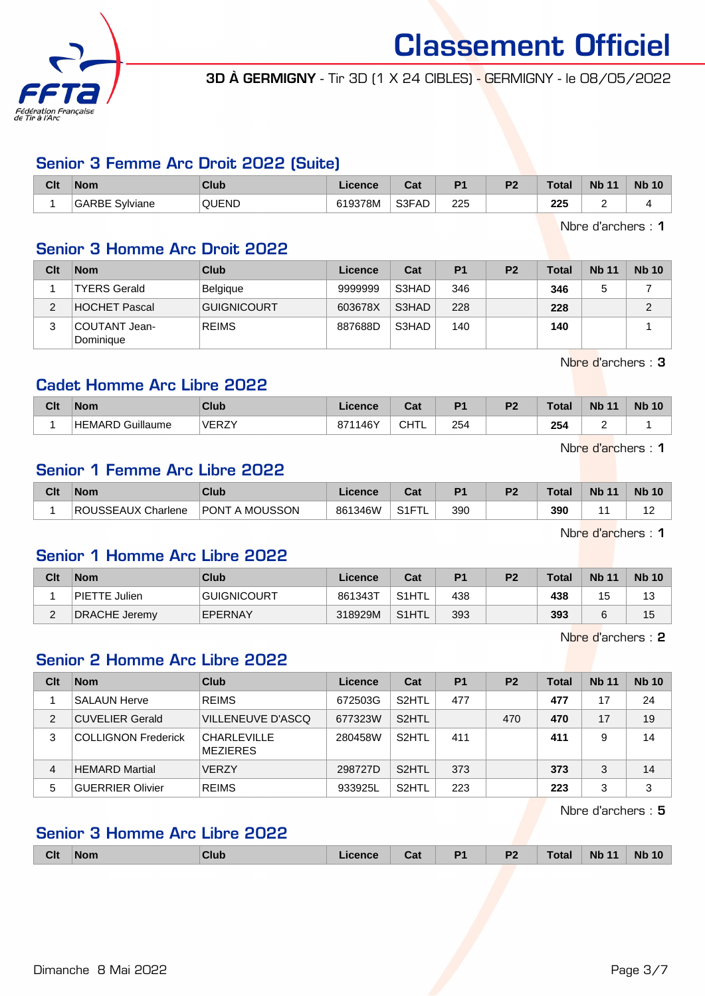

3D À GERMIGNY - Tir 3D (1 X 24 CIBLES) - GERMIGNY - le 08/05/2022

# Senior 3 Femme Arc Droit 2022 (Suite)

| Clt | <b>Nom</b>     | Club         | Licence | ∩^∙<br><b>val</b> | D.  | D0 | Total      | <b>Nb</b><br>11 | <b>Nb 10</b> |
|-----|----------------|--------------|---------|-------------------|-----|----|------------|-----------------|--------------|
|     | GARBE Sylviane | <b>QUEND</b> | 619378M | S3FAD             | 225 |    | つつに<br>ZZJ | -               |              |

Nbre d'archers : 1

### Senior 3 Homme Arc Droit 2022

| Clt | <b>Nom</b>                 | Club               | Licence | Cat   | P <sub>1</sub> | P <sub>2</sub> | Total | <b>Nb 11</b> | <b>Nb 10</b> |
|-----|----------------------------|--------------------|---------|-------|----------------|----------------|-------|--------------|--------------|
|     | <b>TYERS Gerald</b>        | Belgique           | 9999999 | S3HAD | 346            |                | 346   |              |              |
| ◠   | <b>HOCHET Pascal</b>       | <b>GUIGNICOURT</b> | 603678X | S3HAD | 228            |                | 228   |              | C            |
| 3   | COUTANT Jean-<br>Dominique | <b>REIMS</b>       | 887688D | S3HAD | 140            |                | 140   |              |              |

Nbre d'archers : 3

# Cadet Homme Arc Libre 2022

| Clt | Nom                 | <b>Club</b>  | Licence            | <b>Date</b><br>oat | D <sub>4</sub> | D0 | Total | <b>Nb</b><br>$\overline{A}$ | <b>Nb 10</b> |
|-----|---------------------|--------------|--------------------|--------------------|----------------|----|-------|-----------------------------|--------------|
|     | Guillaume<br>HEMARD | <b>VERZY</b> | 46Y،<br>0744<br>07 | . IT'<br>்ட<br>◡   | 254            |    | 254   | -                           |              |

Nbre d'archers : 1

# Senior 1 Femme Arc Libre 2022

| Clt | <b>Nom</b>            | Club              | Licence | <b>Cost</b><br>ual | D4  | n. | Total | <b>N<sub>b</sub></b><br>11 | <b>Nb 10</b> |
|-----|-----------------------|-------------------|---------|--------------------|-----|----|-------|----------------------------|--------------|
|     | ROUSSEAUX<br>Charlene | A MOUSSON<br>PONT | 861346W | S1FT<br>-          | 390 |    | 390   |                            | . .          |

Nbre d'archers : 1

#### Senior 1 Homme Arc Libre 2022

| Clt | <b>Nom</b>    | Club               | <b>Licence</b> | Cat                | P <sub>1</sub> | P <sub>2</sub> | <b>Total</b> | <b>Nb 11</b> | <b>Nb 10</b> |
|-----|---------------|--------------------|----------------|--------------------|----------------|----------------|--------------|--------------|--------------|
|     | PIETTE Julien | <b>GUIGNICOURT</b> | 861343T        | S <sub>1</sub> HTL | 438            |                | 438          | ں ا          | 13           |
| -   | DRACHE Jeremy | <b>EPERNAY</b>     | 318929M        | S <sub>1</sub> HTL | 393            |                | 393          |              | 15           |

Nbre d'archers : 2

#### Senior 2 Homme Arc Libre 2022

| Clt            | <b>Nom</b>                 | <b>Club</b>                           | Licence | Cat                | <b>P1</b> | P <sub>2</sub> | <b>Total</b> | <b>Nb 11</b> | <b>Nb 10</b> |
|----------------|----------------------------|---------------------------------------|---------|--------------------|-----------|----------------|--------------|--------------|--------------|
|                | <b>SALAUN Herve</b>        | <b>REIMS</b>                          | 672503G | S <sub>2</sub> HTL | 477       |                | 477          | 17           | 24           |
| $\overline{2}$ | <b>CUVELIER Gerald</b>     | VILLENEUVE D'ASCO                     | 677323W | S <sub>2</sub> HTL |           | 470            | 470          | 17           | 19           |
| 3              | <b>COLLIGNON Frederick</b> | <b>CHARLEVILLE</b><br><b>MEZIERES</b> | 280458W | S <sub>2</sub> HTL | 411       |                | 411          | 9            | 14           |
| 4              | <b>HEMARD Martial</b>      | <b>VERZY</b>                          | 298727D | S <sub>2</sub> HTL | 373       |                | 373          | 3            | 14           |
| 5              | <b>GUERRIER Olivier</b>    | <b>REIMS</b>                          | 933925L | S <sub>2</sub> HTL | 223       |                | 223          | 3            | 3            |

Nbre d'archers : 5

# Senior 3 Homme Arc Libre 2022

| <b>Clt</b> | <b>Nom</b> | Club | <b>Licence</b> | Cat | D <sub>4</sub> | P <sub>2</sub> | <b>Total</b> | $-11$<br><b>Nb</b> | <b>Nb 10</b> |
|------------|------------|------|----------------|-----|----------------|----------------|--------------|--------------------|--------------|
|            |            |      |                |     |                |                |              |                    |              |

Dimanche 8 Mai 2022 **Page 3/7**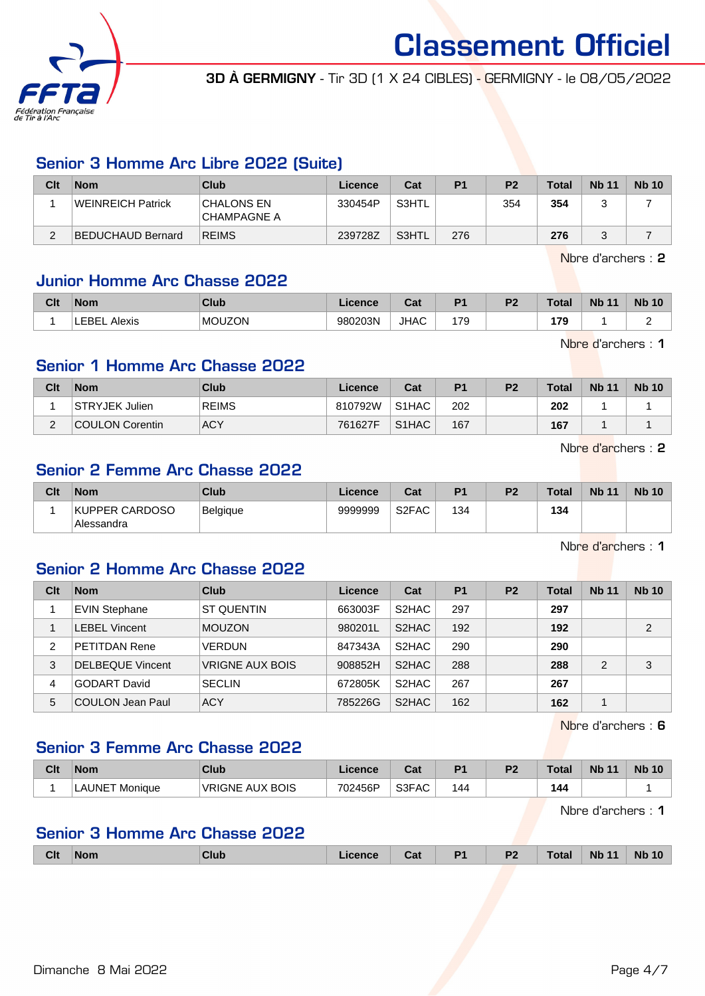

3D À GERMIGNY - Tir 3D (1 X 24 CIBLES) - GERMIGNY - le 08/05/2022

# Senior 3 Homme Arc Libre 2022 (Suite)

| Clt      | <b>Nom</b>               | Club                      | Licence | Cat   | P <sub>1</sub> | P <sub>2</sub> | Total | <b>Nb 11</b> | <b>Nb 10</b> |
|----------|--------------------------|---------------------------|---------|-------|----------------|----------------|-------|--------------|--------------|
|          | <b>WEINREICH Patrick</b> | CHALONS EN<br>CHAMPAGNE A | 330454P | S3HTL |                | 354            | 354   |              |              |
| $\Omega$ | BEDUCHAUD Bernard        | <b>REIMS</b>              | 239728Z | S3HTL | 276            |                | 276   |              |              |

Nbre d'archers : 2

# Junior Homme Arc Chasse 2022

| Clt | <b>Nom</b>    | Club          | Licence | יה<br>⊍aι   | D <sub>1</sub>        | פם | 'otal | <b>Nb</b><br>$\overline{44}$ | <b>Nb 10</b> |
|-----|---------------|---------------|---------|-------------|-----------------------|----|-------|------------------------------|--------------|
|     | ™RF<br>Alexis | <b>MOUZON</b> | 980203N | <b>JHAC</b> | 17C<br>,, ,<br>$\sim$ |    | 170   |                              | -            |

Nbre d'archers : 1

# Senior 1 Homme Arc Chasse 2022

| Clt        | <b>Nom</b>             | Club         | Licence | Cat                            | P <sub>1</sub> | P <sub>2</sub> | <b>Total</b> | <b>Nb 11</b> | <b>Nb 10</b> |
|------------|------------------------|--------------|---------|--------------------------------|----------------|----------------|--------------|--------------|--------------|
|            | STRYJEK Julien         | <b>REIMS</b> | 810792W | S <sub>1</sub> HAC             | 202            |                | 202          |              |              |
| $\sqrt{2}$ | <b>COULON Corentin</b> | <b>ACY</b>   | 761627F | S <sub>1</sub> H <sub>AC</sub> | 167            |                | 167          |              |              |

Nbre d'archers : 2

# Senior 2 Femme Arc Chasse 2022

| Clt | <b>Nom</b>                   | Club     | Licence | Cat                | D <sub>1</sub> | P <sub>2</sub> | <b>Total</b> | <b>Nb 11</b> | <b>Nb</b><br>10 |
|-----|------------------------------|----------|---------|--------------------|----------------|----------------|--------------|--------------|-----------------|
|     | KUPPER CARDOSO<br>Alessandra | Belgique | 9999999 | S <sub>2</sub> FAC | 134            |                | 134          |              |                 |

Nbre d'archers : 1

### Senior 2 Homme Arc Chasse 2022

| Clt | <b>Nom</b>              | Club                   | Licence | Cat                | P <sub>1</sub> | P <sub>2</sub> | <b>Total</b> | <b>Nb 11</b>  | <b>Nb 10</b> |
|-----|-------------------------|------------------------|---------|--------------------|----------------|----------------|--------------|---------------|--------------|
|     | <b>EVIN Stephane</b>    | <b>ST QUENTIN</b>      | 663003F | S <sub>2</sub> HAC | 297            |                | 297          |               |              |
|     | <b>LEBEL Vincent</b>    | <b>MOUZON</b>          | 980201L | S <sub>2</sub> HAC | 192            |                | 192          |               | 2            |
| 2   | <b>PETITDAN Rene</b>    | <b>VERDUN</b>          | 847343A | S <sub>2</sub> HAC | 290            |                | 290          |               |              |
| 3   | <b>DELBEQUE Vincent</b> | <b>VRIGNE AUX BOIS</b> | 908852H | S <sub>2</sub> HAC | 288            |                | 288          | $\mathcal{P}$ | 3            |
| 4   | <b>GODART David</b>     | <b>SECLIN</b>          | 672805K | S <sub>2</sub> HAC | 267            |                | 267          |               |              |
| 5   | <b>COULON Jean Paul</b> | <b>ACY</b>             | 785226G | S <sub>2</sub> HAC | 162            |                | 162          |               |              |

Nbre d'archers : 6

# Senior 3 Femme Arc Chasse 2022

| Clt | <b>Nom</b>                    | <b>Club</b>            | .icence | . הי<br>uai | P <sub>1</sub> | D <sub>2</sub> | Total | <b>N<sub>b</sub></b> | <b>N<sub>b</sub></b><br>10 |
|-----|-------------------------------|------------------------|---------|-------------|----------------|----------------|-------|----------------------|----------------------------|
|     | LAUNE <sup>-</sup><br>Monique | <b>VRIGNE AUX BOIS</b> | 702456P | S3FAC       | 144            |                | 144   |                      |                            |

Nbre d'archers : 1

# Senior 3 Homme Arc Chasse 2022

| <b>Clt</b> | <b>Nom</b> | Club | .icence | Cat | D <sub>1</sub> | P <sub>2</sub> | <b>Total</b> | 11<br><b>N<sub>b</sub></b> | <b>Nb</b><br>10 |
|------------|------------|------|---------|-----|----------------|----------------|--------------|----------------------------|-----------------|
|            |            |      |         |     |                |                |              |                            |                 |

Dimanche 8 Mai 2022 **Page 4/7**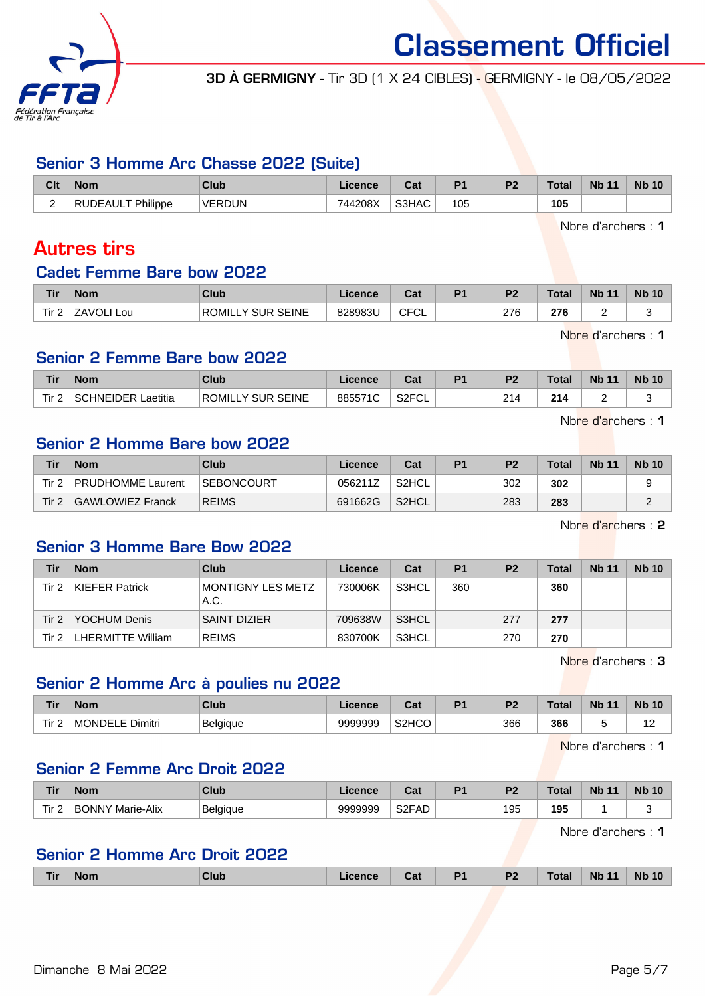

3D À GERMIGNY - Tir 3D (1 X 24 CIBLES) - GERMIGNY - le 08/05/2022

## Senior 3 Homme Arc Chasse 2022 (Suite)

| Clt    | <b>Nom</b>                               | <b>Club</b>   | Licence | ∩^+<br>ual | D <sub>4</sub> | D. | Total | <b>Nb 11</b> | <b>Nb 10</b> |
|--------|------------------------------------------|---------------|---------|------------|----------------|----|-------|--------------|--------------|
| ∽<br>- | <sup>-</sup> Philippe<br><b>'IDEAUL.</b> | <b>VERDUN</b> | 744208X | S3HAC      | 105            |    | 105   |              |              |

Nbre d'archers : 1

# Autres tirs

### Cadet Femme Bare bow 2022

| Tir   | <b>Nom</b>    | Club                                         | Licence | <b>DAL</b><br>ual      | D <sub>1</sub> | D <sub>2</sub> | <b>Total</b>  | <b>Nb</b><br>$\overline{A}$ | <b>Nb 10</b> |
|-------|---------------|----------------------------------------------|---------|------------------------|----------------|----------------|---------------|-----------------------------|--------------|
| Tir 2 | ZAVOLI<br>Lou | <b>ROMILLY</b><br><b>SEINE</b><br><b>SUR</b> | 828983U | <b>CECI</b><br>◡<br>◡∟ |                | 276            | 276<br>$\sim$ | -                           |              |

Nbre d'archers : 1

# Senior 2 Femme Bare bow 2022

| <b>Tir</b>        | <b>Nom</b>          | Club                           | icence    | ◠fi<br>va.                | D <sub>1</sub> | D <sub>2</sub> | Total | <b>N<sub>b</sub></b><br>$-11$ | <b>N<sub>b</sub></b> |
|-------------------|---------------------|--------------------------------|-----------|---------------------------|----------------|----------------|-------|-------------------------------|----------------------|
| Tir 2<br><u>_</u> | `HNEIDER<br>aetitia | <b>SEINE</b><br>ROMIL<br>SLIR. | 8855<br>◡ | <b>ROECL</b><br>◡∟<br>ιکت |                | 214            | 214   |                               |                      |

Nbre d'archers : 1

# Senior 2 Homme Bare bow 2022

| Tir              | <b>Nom</b>               | Club         | Licence | Cat   | P <sub>1</sub> | P <sub>2</sub> | <b>Total</b> | <b>Nb 11</b> | <b>Nb 10</b> |
|------------------|--------------------------|--------------|---------|-------|----------------|----------------|--------------|--------------|--------------|
| Tir 2            | <b>PRUDHOMME Laurent</b> | SEBONCOURT   | 056211Z | S2HCL |                | 302            | 302          |              |              |
| Tir <sub>2</sub> | GAWLOWIEZ Franck         | <b>REIMS</b> | 691662G | S2HCL |                | 283            | 283          |              |              |

Nbre d'archers : 2

# Senior 3 Homme Bare Bow 2022

| Tir   | <b>Nom</b>            | Club                      | Licence | Cat   | P <sub>1</sub> | P <sub>2</sub> | Total | <b>Nb 11</b> | <b>Nb 10</b> |
|-------|-----------------------|---------------------------|---------|-------|----------------|----------------|-------|--------------|--------------|
| Tir 2 | <b>KIEFER Patrick</b> | MONTIGNY LES METZ<br>A.C. | 730006K | S3HCL | 360            |                | 360   |              |              |
| Tir 2 | <b>YOCHUM Denis</b>   | <b>SAINT DIZIER</b>       | 709638W | S3HCL |                | 277            | 277   |              |              |
| Tir 2 | LHERMITTE William     | <b>REIMS</b>              | 830700K | S3HCL |                | 270            | 270   |              |              |

Nbre d'archers : 3

#### Senior 2 Homme Arc à poulies nu 2022

| <b>Tir</b>       | <b>Nom</b>              | Club            | ∟icence | <b>Post</b><br>ual             | D4 | DC. | г^+^<br><b>Old</b> | <b>Nb</b><br>$\overline{A}$ | <b>Nb</b><br>10               |
|------------------|-------------------------|-----------------|---------|--------------------------------|----|-----|--------------------|-----------------------------|-------------------------------|
| Tir.<br><u>_</u> | ⊣MONDE'<br>Dimitri<br>ᆮ | <b>Belgique</b> | 9999999 | S <sub>2</sub> HC <sub>O</sub> |    | 366 | 366                |                             | -<br>$\overline{\phantom{0}}$ |

Nbre d'archers : 1

#### Senior 2 Femme Arc Droit 2022

| <b>Tir</b> | <b>Nom</b>                 | <b>Club</b> | icence  | <b>Take</b><br>ual | D4 | D <sub>0</sub> | Tota | <b>N<sub>b</sub></b> | <b>Nb 10</b> |
|------------|----------------------------|-------------|---------|--------------------|----|----------------|------|----------------------|--------------|
| Tir 2      | Marie-Alix<br><b>BONNY</b> | Belaiaue    | 9999999 | S <sub>2</sub> FAD |    | 195            | 195  |                      |              |

Nbre d'archers : 1

# Senior 2 Homme Arc Droit 2022

| Tir | <b>Nom</b> | ∶lub | <i>cence</i> | Cat | . . | D <sub>2</sub><br>-- | Tota. | <b>N<sub>b</sub></b> | <b>Nb 10</b> |
|-----|------------|------|--------------|-----|-----|----------------------|-------|----------------------|--------------|
|     |            |      |              |     |     |                      |       |                      |              |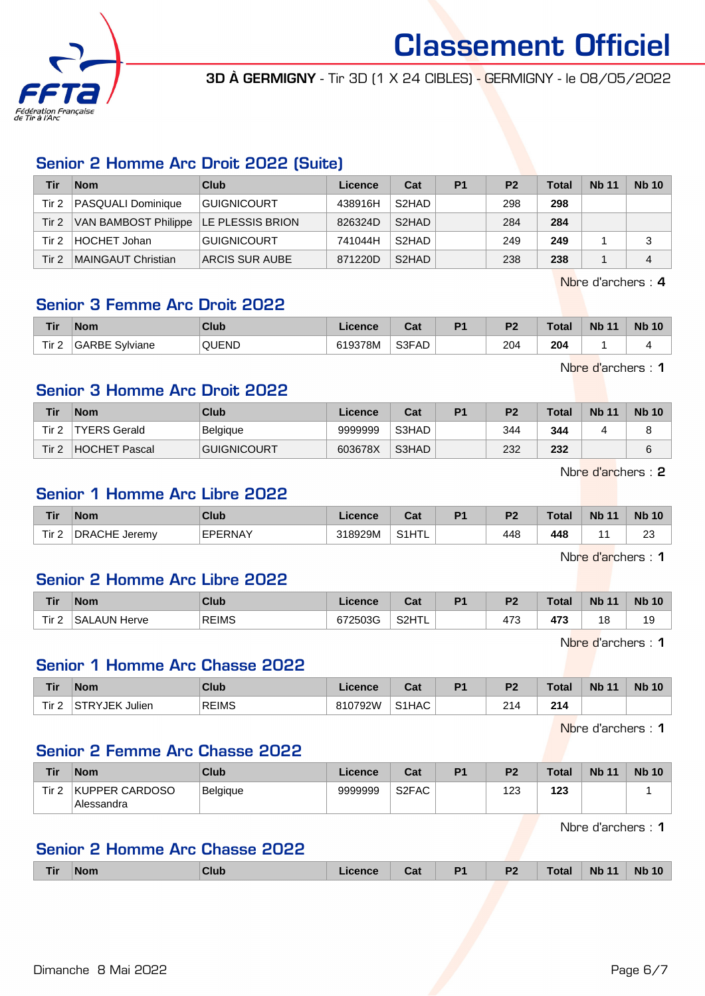

3D À GERMIGNY - Tir 3D (1 X 24 CIBLES) - GERMIGNY - le 08/05/2022

# Senior 2 Homme Arc Droit 2022 (Suite)

| Tir   | <b>Nom</b>                              | Club               | Licence | Cat                | P <sub>1</sub> | P <sub>2</sub> | <b>Total</b> | <b>Nb 11</b> | <b>Nb 10</b> |
|-------|-----------------------------------------|--------------------|---------|--------------------|----------------|----------------|--------------|--------------|--------------|
| Tir 2 | <b>PASQUALI Dominique</b>               | <b>GUIGNICOURT</b> | 438916H | S <sub>2</sub> HAD |                | 298            | 298          |              |              |
| Tir 2 | VAN BAMBOST Philippe   LE PLESSIS BRION |                    | 826324D | S <sub>2</sub> HAD |                | 284            | 284          |              |              |
| Tir 2 | HOCHET Johan                            | <b>GUIGNICOURT</b> | 741044H | S <sub>2</sub> HAD |                | 249            | 249          |              |              |
| Tir 2 | <b>MAINGAUT Christian</b>               | ARCIS SUR AUBE     | 871220D | S <sub>2</sub> HAD |                | 238            | 238          |              |              |

Nbre d'archers : 4

# Senior 3 Femme Arc Droit 2022

| <b>Tir</b>       | 'Nom                     | Club         | icence   | יים<br>⊍a | P <sub>1</sub> | D <sub>2</sub> | Total | <b>Nb</b> | <b>Nb</b><br>10 |
|------------------|--------------------------|--------------|----------|-----------|----------------|----------------|-------|-----------|-----------------|
| Tir <sub>2</sub> | Svlviane<br><b>GARBE</b> | <b>QUEND</b> | ີ 19378M | S3FAD     |                | 204            | 204   |           |                 |

Nbre d'archers : 1

# Senior 3 Homme Arc Droit 2022

| Tir   | <b>Nom</b>          | <b>Club</b>        | Licence | Cat   | P <sub>1</sub> | P <sub>2</sub> | <b>Total</b> | <b>Nb 11</b> | <b>Nb 10</b> |
|-------|---------------------|--------------------|---------|-------|----------------|----------------|--------------|--------------|--------------|
| Tir 2 | <b>TYERS Gerald</b> | Belgique           | 9999999 | S3HAD |                | 344            | 344          |              |              |
| Tir 2 | HOCHET Pascal       | <b>GUIGNICOURT</b> | 603678X | S3HAD |                | 232            | 232          |              |              |

Nbre d'archers : 2

#### Senior 1 Homme Arc Libre 2022

| <b>Tir</b> | <b>Nom</b>              | <b>Club</b> | icence  | יה<br>val                  | D <sub>4</sub> | D <sub>2</sub> | <b>Total</b>  | <b>Nb 11</b> | <b>Nb</b><br>$\Lambda$ |
|------------|-------------------------|-------------|---------|----------------------------|----------------|----------------|---------------|--------------|------------------------|
| Tir 2<br>∼ | <b>DRACHE</b><br>Jeremy | FPFRNAY     | 318929M | <b>C</b> <sub>4</sub> LITI |                | 448            | 448<br>$\sim$ |              | $\sim$<br>∠∪<br>$\sim$ |

Nbre d'archers : 1

#### Senior 2 Homme Arc Libre 2022

| Tir     | <b>Nom</b>                  | <b>Club</b>  | Licence | $\sim$<br>uai      | D <sub>1</sub> | D <sub>2</sub> | Total | <b>Nb 11</b>              | <b>Nb 10</b> |
|---------|-----------------------------|--------------|---------|--------------------|----------------|----------------|-------|---------------------------|--------------|
| Tir $2$ | .AUN<br><b>SAL</b><br>Herve | <b>REIMS</b> | 672503G | S <sub>2</sub> HTI |                | 170<br>473     | 473   | 4 <sup>c</sup><br>$\circ$ | 19           |

Nbre d'archers : 1

#### Senior 1 Homme Arc Chasse 2022

| <b>Tir</b>       | <b>Nom</b>         | Club         | Licence | Total and<br>uai | D <sub>4</sub> | D <sub>2</sub> | <b>Total</b> | <b>Nb 11</b> | <b>Nb 10</b> |
|------------------|--------------------|--------------|---------|------------------|----------------|----------------|--------------|--------------|--------------|
| Tir <sub>2</sub> | Julien<br>⊥STRYJEK | <b>REIMS</b> | 310792W | S1HAC            |                | ົ<br>214       | 214          |              |              |

Nbre d'archers : 1

### Senior 2 Femme Arc Chasse 2022

| Tir   | <b>Nom</b>                   | Club            | Licence | Cat                | D <sub>1</sub> | P <sub>2</sub> | <b>Total</b> | <b>Nb 11</b> | <b>Nb 10</b> |
|-------|------------------------------|-----------------|---------|--------------------|----------------|----------------|--------------|--------------|--------------|
| Tir 2 | KUPPER CARDOSO<br>Alessandra | <b>Belgique</b> | 9999999 | S <sub>2</sub> FAC |                | 123            | 123          |              |              |

Nbre d'archers : 1

# Senior 2 Homme Arc Chasse 2022

| Tir | <b>Nom</b><br>______ | <b>Club</b> | Licence<br>______ | val | D <sub>4</sub><br>. . | D <sub>0</sub><br>$\sim$ | <b>Total</b> | <b>Nb</b><br>$-11$<br>_____ | <b>Nb</b> |
|-----|----------------------|-------------|-------------------|-----|-----------------------|--------------------------|--------------|-----------------------------|-----------|
|     |                      |             |                   |     |                       |                          |              |                             |           |